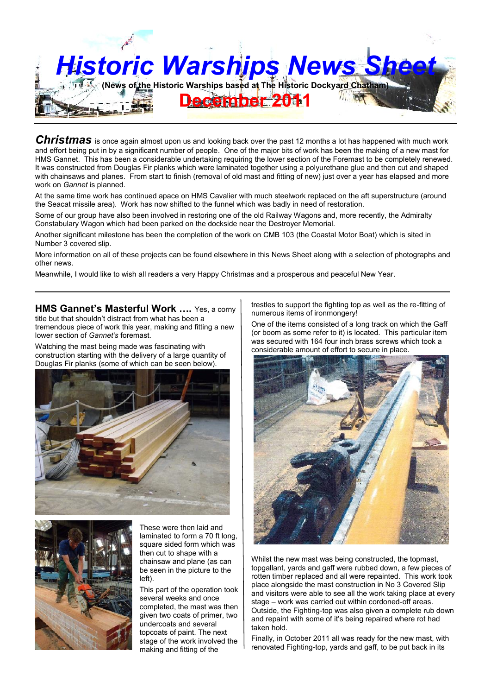

*Christmas* is once again almost upon us and looking back over the past 12 months a lot has happened with much work and effort being put in by a significant number of people. One of the major bits of work has been the making of a new mast for HMS Gannet. This has been a considerable undertaking requiring the lower section of the Foremast to be completely renewed. It was constructed from Douglas Fir planks which were laminated together using a polyurethane glue and then cut and shaped with chainsaws and planes. From start to finish (removal of old mast and fitting of new) just over a year has elapsed and more work on *Gannet* is planned.

At the same time work has continued apace on HMS Cavalier with much steelwork replaced on the aft superstructure (around the Seacat missile area). Work has now shifted to the funnel which was badly in need of restoration.

Some of our group have also been involved in restoring one of the old Railway Wagons and, more recently, the Admiralty Constabulary Wagon which had been parked on the dockside near the Destroyer Memorial.

Another significant milestone has been the completion of the work on CMB 103 (the Coastal Motor Boat) which is sited in Number 3 covered slip.

More information on all of these projects can be found elsewhere in this News Sheet along with a selection of photographs and other news.

Meanwhile, I would like to wish all readers a very Happy Christmas and a prosperous and peaceful New Year.

**HMS Gannet's Masterful Work ….** Yes, a corny title but that shouldn't distract from what has been a tremendous piece of work this year, making and fitting a new lower section of *Gannet's* foremast.

Watching the mast being made was fascinating with construction starting with the delivery of a large quantity of Douglas Fir planks (some of which can be seen below).





These were then laid and laminated to form a 70 ft long, square sided form which was then cut to shape with a chainsaw and plane (as can be seen in the picture to the left).

This part of the operation took several weeks and once completed, the mast was then given two coats of primer, two undercoats and several topcoats of paint. The next stage of the work involved the making and fitting of the

trestles to support the fighting top as well as the re-fitting of numerous items of ironmongery!

One of the items consisted of a long track on which the Gaff (or boom as some refer to it) is located. This particular item was secured with 164 four inch brass screws which took a considerable amount of effort to secure in place.



Whilst the new mast was being constructed, the topmast, topgallant, yards and gaff were rubbed down, a few pieces of rotten timber replaced and all were repainted. This work took place alongside the mast construction in No 3 Covered Slip and visitors were able to see all the work taking place at every stage – work was carried out within cordoned-off areas. Outside, the Fighting-top was also given a complete rub down and repaint with some of it's being repaired where rot had taken hold.

Finally, in October 2011 all was ready for the new mast, with renovated Fighting-top, yards and gaff, to be put back in its